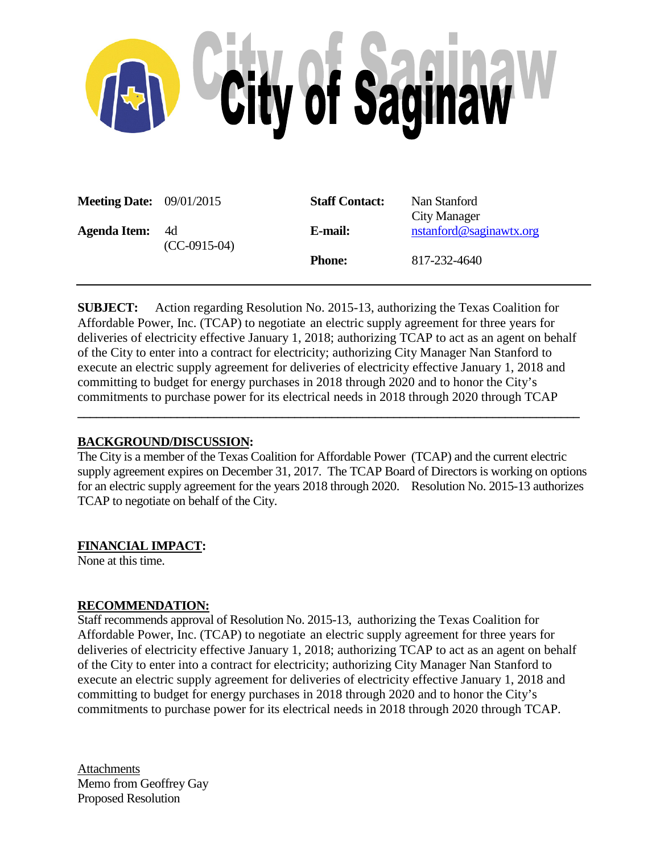

| <b>Meeting Date:</b> $09/01/2015$ |                      | <b>Staff Contact:</b> | Nan Stanford<br>City Manager |
|-----------------------------------|----------------------|-----------------------|------------------------------|
| <b>Agenda Item:</b>               | 4d<br>$(CC-0915-04)$ | E-mail:               | nstanford@saginawtx.org      |
|                                   |                      | <b>Phone:</b>         | 817-232-4640                 |

**SUBJECT:** Action regarding Resolution No. 2015-13, authorizing the Texas Coalition for Affordable Power, Inc. (TCAP) to negotiate an electric supply agreement for three years for deliveries of electricity effective January 1, 2018; authorizing TCAP to act as an agent on behalf of the City to enter into a contract for electricity; authorizing City Manager Nan Stanford to execute an electric supply agreement for deliveries of electricity effective January 1, 2018 and committing to budget for energy purchases in 2018 through 2020 and to honor the City's commitments to purchase power for its electrical needs in 2018 through 2020 through TCAP

**\_\_\_\_\_\_\_\_\_\_\_\_\_\_\_\_\_\_\_\_\_\_\_\_\_\_\_\_\_\_\_\_\_\_\_\_\_\_\_\_\_\_\_\_\_\_\_\_\_\_\_\_\_\_\_\_\_\_\_\_\_\_\_\_\_\_\_\_\_\_\_\_\_\_\_\_\_\_\_\_\_**

# **BACKGROUND/DISCUSSION:**

The City is a member of the Texas Coalition for Affordable Power (TCAP) and the current electric supply agreement expires on December 31, 2017. The TCAP Board of Directors is working on options for an electric supply agreement for the years 2018 through 2020. Resolution No. 2015-13 authorizes TCAP to negotiate on behalf of the City.

# **FINANCIAL IMPACT:**

None at this time.

# **RECOMMENDATION:**

Staff recommends approval of Resolution No. 2015-13, authorizing the Texas Coalition for Affordable Power, Inc. (TCAP) to negotiate an electric supply agreement for three years for deliveries of electricity effective January 1, 2018; authorizing TCAP to act as an agent on behalf of the City to enter into a contract for electricity; authorizing City Manager Nan Stanford to execute an electric supply agreement for deliveries of electricity effective January 1, 2018 and committing to budget for energy purchases in 2018 through 2020 and to honor the City's commitments to purchase power for its electrical needs in 2018 through 2020 through TCAP.

**Attachments** Memo from Geoffrey Gay Proposed Resolution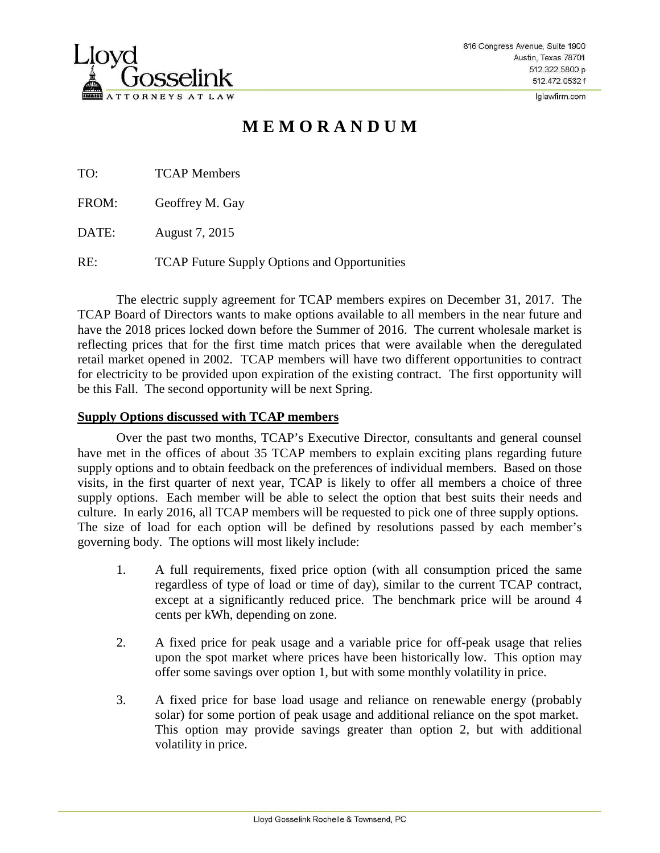

Iglawfirm.com

# **M E M O R A N D U M**

TO: TCAP Members

FROM: Geoffrey M. Gay

DATE: August 7, 2015

RE: TCAP Future Supply Options and Opportunities

The electric supply agreement for TCAP members expires on December 31, 2017. The TCAP Board of Directors wants to make options available to all members in the near future and have the 2018 prices locked down before the Summer of 2016. The current wholesale market is reflecting prices that for the first time match prices that were available when the deregulated retail market opened in 2002. TCAP members will have two different opportunities to contract for electricity to be provided upon expiration of the existing contract. The first opportunity will be this Fall. The second opportunity will be next Spring.

# **Supply Options discussed with TCAP members**

Over the past two months, TCAP's Executive Director, consultants and general counsel have met in the offices of about 35 TCAP members to explain exciting plans regarding future supply options and to obtain feedback on the preferences of individual members. Based on those visits, in the first quarter of next year, TCAP is likely to offer all members a choice of three supply options. Each member will be able to select the option that best suits their needs and culture. In early 2016, all TCAP members will be requested to pick one of three supply options. The size of load for each option will be defined by resolutions passed by each member's governing body. The options will most likely include:

- 1. A full requirements, fixed price option (with all consumption priced the same regardless of type of load or time of day), similar to the current TCAP contract, except at a significantly reduced price. The benchmark price will be around 4 cents per kWh, depending on zone.
- 2. A fixed price for peak usage and a variable price for off-peak usage that relies upon the spot market where prices have been historically low. This option may offer some savings over option 1, but with some monthly volatility in price.
- 3. A fixed price for base load usage and reliance on renewable energy (probably solar) for some portion of peak usage and additional reliance on the spot market. This option may provide savings greater than option 2, but with additional volatility in price.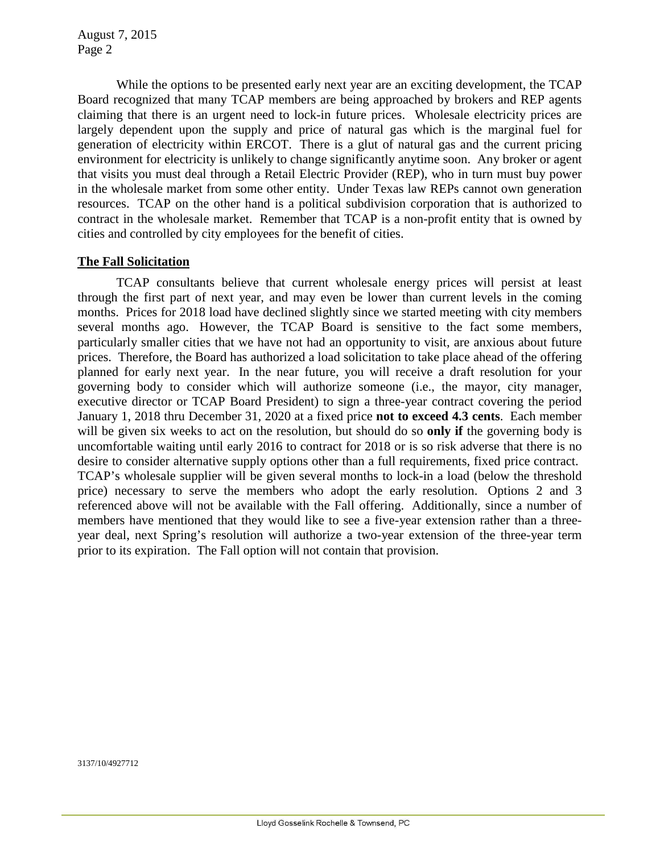August 7, 2015 Page 2

While the options to be presented early next year are an exciting development, the TCAP Board recognized that many TCAP members are being approached by brokers and REP agents claiming that there is an urgent need to lock-in future prices. Wholesale electricity prices are largely dependent upon the supply and price of natural gas which is the marginal fuel for generation of electricity within ERCOT. There is a glut of natural gas and the current pricing environment for electricity is unlikely to change significantly anytime soon. Any broker or agent that visits you must deal through a Retail Electric Provider (REP), who in turn must buy power in the wholesale market from some other entity. Under Texas law REPs cannot own generation resources. TCAP on the other hand is a political subdivision corporation that is authorized to contract in the wholesale market. Remember that TCAP is a non-profit entity that is owned by cities and controlled by city employees for the benefit of cities.

## **The Fall Solicitation**

TCAP consultants believe that current wholesale energy prices will persist at least through the first part of next year, and may even be lower than current levels in the coming months. Prices for 2018 load have declined slightly since we started meeting with city members several months ago. However, the TCAP Board is sensitive to the fact some members, particularly smaller cities that we have not had an opportunity to visit, are anxious about future prices. Therefore, the Board has authorized a load solicitation to take place ahead of the offering planned for early next year. In the near future, you will receive a draft resolution for your governing body to consider which will authorize someone (i.e., the mayor, city manager, executive director or TCAP Board President) to sign a three-year contract covering the period January 1, 2018 thru December 31, 2020 at a fixed price **not to exceed 4.3 cents**. Each member will be given six weeks to act on the resolution, but should do so **only if** the governing body is uncomfortable waiting until early 2016 to contract for 2018 or is so risk adverse that there is no desire to consider alternative supply options other than a full requirements, fixed price contract. TCAP's wholesale supplier will be given several months to lock-in a load (below the threshold price) necessary to serve the members who adopt the early resolution. Options 2 and 3 referenced above will not be available with the Fall offering. Additionally, since a number of members have mentioned that they would like to see a five-year extension rather than a threeyear deal, next Spring's resolution will authorize a two-year extension of the three-year term prior to its expiration. The Fall option will not contain that provision.

3137/10/4927712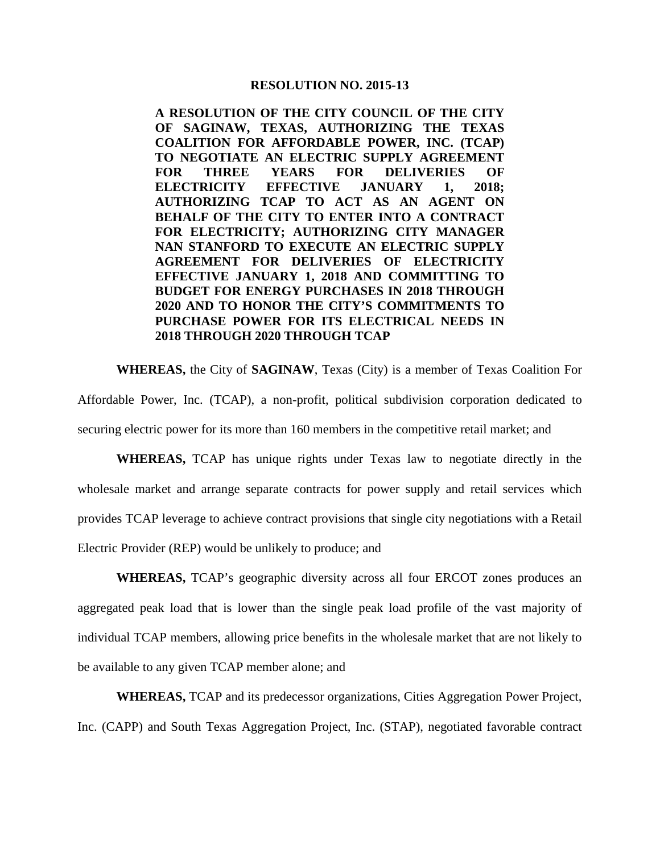#### **RESOLUTION NO. 2015-13**

**A RESOLUTION OF THE CITY COUNCIL OF THE CITY OF SAGINAW, TEXAS, AUTHORIZING THE TEXAS COALITION FOR AFFORDABLE POWER, INC. (TCAP) TO NEGOTIATE AN ELECTRIC SUPPLY AGREEMENT FOR THREE YEARS FOR DELIVERIES OF ELECTRICITY EFFECTIVE JANUARY 1, 2018; AUTHORIZING TCAP TO ACT AS AN AGENT ON BEHALF OF THE CITY TO ENTER INTO A CONTRACT FOR ELECTRICITY; AUTHORIZING CITY MANAGER NAN STANFORD TO EXECUTE AN ELECTRIC SUPPLY AGREEMENT FOR DELIVERIES OF ELECTRICITY EFFECTIVE JANUARY 1, 2018 AND COMMITTING TO BUDGET FOR ENERGY PURCHASES IN 2018 THROUGH 2020 AND TO HONOR THE CITY'S COMMITMENTS TO PURCHASE POWER FOR ITS ELECTRICAL NEEDS IN 2018 THROUGH 2020 THROUGH TCAP**

**WHEREAS,** the City of **SAGINAW**, Texas (City) is a member of Texas Coalition For Affordable Power, Inc. (TCAP), a non-profit, political subdivision corporation dedicated to securing electric power for its more than 160 members in the competitive retail market; and

**WHEREAS,** TCAP has unique rights under Texas law to negotiate directly in the wholesale market and arrange separate contracts for power supply and retail services which provides TCAP leverage to achieve contract provisions that single city negotiations with a Retail Electric Provider (REP) would be unlikely to produce; and

**WHEREAS,** TCAP's geographic diversity across all four ERCOT zones produces an aggregated peak load that is lower than the single peak load profile of the vast majority of individual TCAP members, allowing price benefits in the wholesale market that are not likely to be available to any given TCAP member alone; and

**WHEREAS,** TCAP and its predecessor organizations, Cities Aggregation Power Project, Inc. (CAPP) and South Texas Aggregation Project, Inc. (STAP), negotiated favorable contract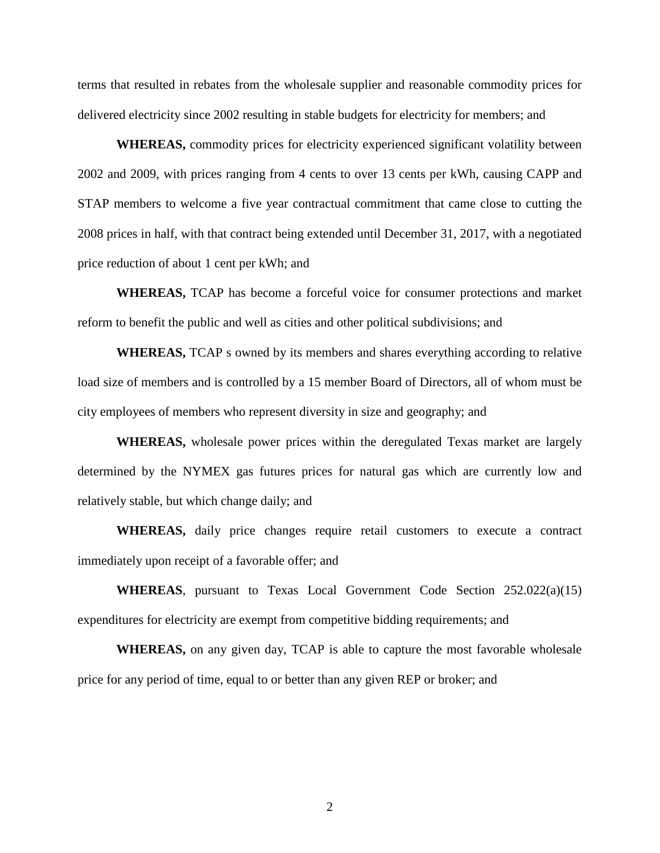terms that resulted in rebates from the wholesale supplier and reasonable commodity prices for delivered electricity since 2002 resulting in stable budgets for electricity for members; and

**WHEREAS,** commodity prices for electricity experienced significant volatility between 2002 and 2009, with prices ranging from 4 cents to over 13 cents per kWh, causing CAPP and STAP members to welcome a five year contractual commitment that came close to cutting the 2008 prices in half, with that contract being extended until December 31, 2017, with a negotiated price reduction of about 1 cent per kWh; and

**WHEREAS,** TCAP has become a forceful voice for consumer protections and market reform to benefit the public and well as cities and other political subdivisions; and

**WHEREAS,** TCAP s owned by its members and shares everything according to relative load size of members and is controlled by a 15 member Board of Directors, all of whom must be city employees of members who represent diversity in size and geography; and

**WHEREAS,** wholesale power prices within the deregulated Texas market are largely determined by the NYMEX gas futures prices for natural gas which are currently low and relatively stable, but which change daily; and

**WHEREAS,** daily price changes require retail customers to execute a contract immediately upon receipt of a favorable offer; and

**WHEREAS**, pursuant to Texas Local Government Code Section 252.022(a)(15) expenditures for electricity are exempt from competitive bidding requirements; and

**WHEREAS,** on any given day, TCAP is able to capture the most favorable wholesale price for any period of time, equal to or better than any given REP or broker; and

2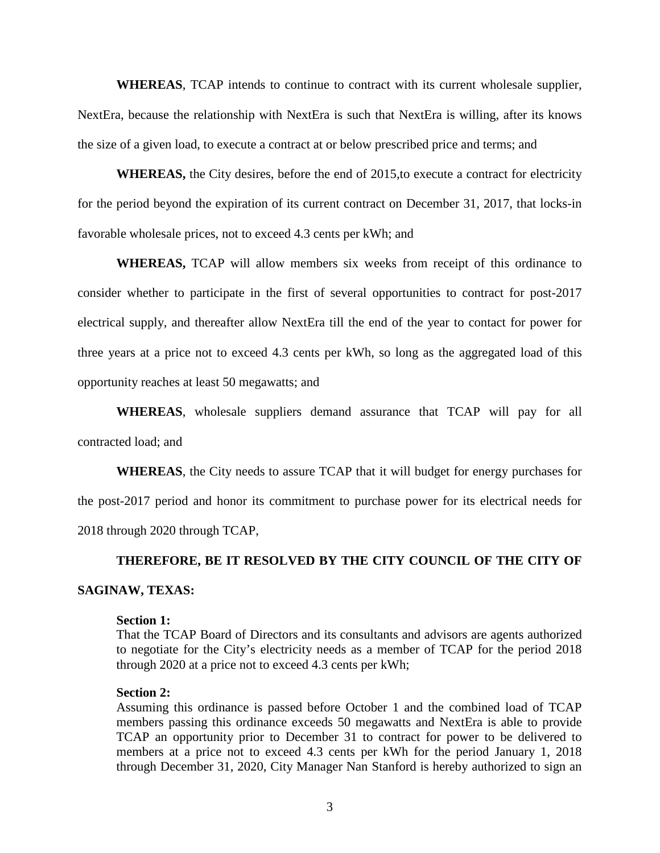**WHEREAS**, TCAP intends to continue to contract with its current wholesale supplier, NextEra, because the relationship with NextEra is such that NextEra is willing, after its knows the size of a given load, to execute a contract at or below prescribed price and terms; and

**WHEREAS,** the City desires, before the end of 2015,to execute a contract for electricity for the period beyond the expiration of its current contract on December 31, 2017, that locks-in favorable wholesale prices, not to exceed 4.3 cents per kWh; and

**WHEREAS,** TCAP will allow members six weeks from receipt of this ordinance to consider whether to participate in the first of several opportunities to contract for post-2017 electrical supply, and thereafter allow NextEra till the end of the year to contact for power for three years at a price not to exceed 4.3 cents per kWh, so long as the aggregated load of this opportunity reaches at least 50 megawatts; and

**WHEREAS**, wholesale suppliers demand assurance that TCAP will pay for all contracted load; and

**WHEREAS**, the City needs to assure TCAP that it will budget for energy purchases for the post-2017 period and honor its commitment to purchase power for its electrical needs for 2018 through 2020 through TCAP,

#### **THEREFORE, BE IT RESOLVED BY THE CITY COUNCIL OF THE CITY OF**

## **SAGINAW, TEXAS:**

#### **Section 1:**

That the TCAP Board of Directors and its consultants and advisors are agents authorized to negotiate for the City's electricity needs as a member of TCAP for the period 2018 through 2020 at a price not to exceed 4.3 cents per kWh;

#### **Section 2:**

Assuming this ordinance is passed before October 1 and the combined load of TCAP members passing this ordinance exceeds 50 megawatts and NextEra is able to provide TCAP an opportunity prior to December 31 to contract for power to be delivered to members at a price not to exceed 4.3 cents per kWh for the period January 1, 2018 through December 31, 2020, City Manager Nan Stanford is hereby authorized to sign an